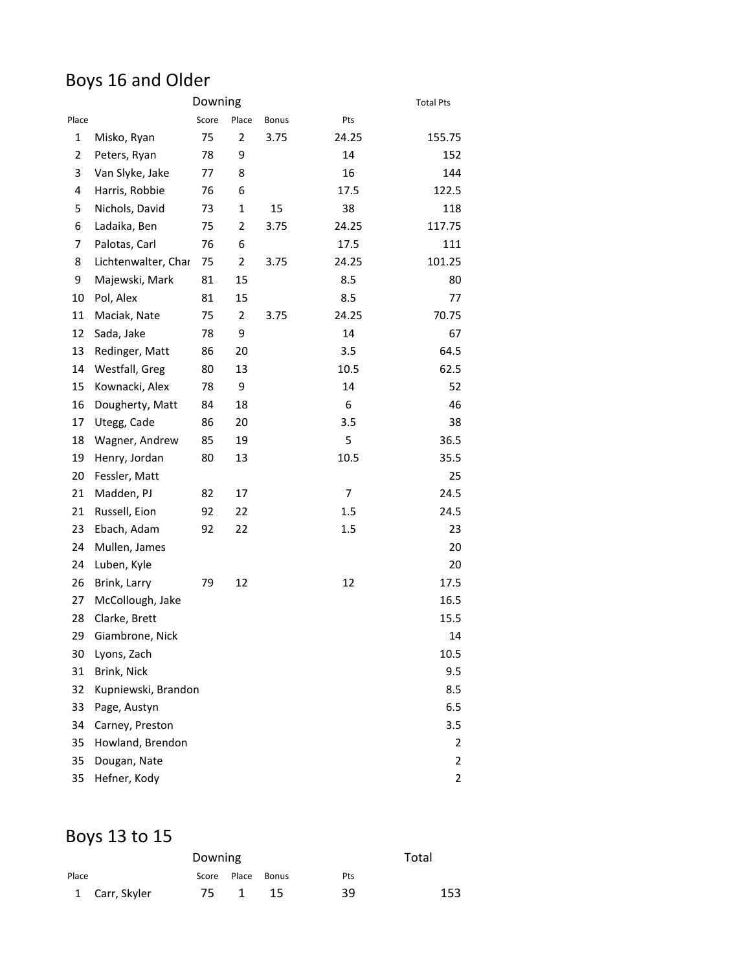### Boys 16 and Older

|       | Downing             |       |                |              |       | <b>Total Pts</b> |
|-------|---------------------|-------|----------------|--------------|-------|------------------|
| Place |                     | Score | Place          | <b>Bonus</b> | Pts   |                  |
| 1     | Misko, Ryan         | 75    | $\overline{2}$ | 3.75         | 24.25 | 155.75           |
| 2     | Peters, Ryan        | 78    | 9              |              | 14    | 152              |
| 3     | Van Slyke, Jake     | 77    | 8              |              | 16    | 144              |
| 4     | Harris, Robbie      | 76    | 6              |              | 17.5  | 122.5            |
| 5     | Nichols, David      | 73    | 1              | 15           | 38    | 118              |
| 6     | Ladaika, Ben        | 75    | 2              | 3.75         | 24.25 | 117.75           |
| 7     | Palotas, Carl       | 76    | 6              |              | 17.5  | 111              |
| 8     | Lichtenwalter, Char | 75    | $\overline{2}$ | 3.75         | 24.25 | 101.25           |
| 9     | Majewski, Mark      | 81    | 15             |              | 8.5   | 80               |
| 10    | Pol, Alex           | 81    | 15             |              | 8.5   | 77               |
| 11    | Maciak, Nate        | 75    | 2              | 3.75         | 24.25 | 70.75            |
| 12    | Sada, Jake          | 78    | 9              |              | 14    | 67               |
| 13    | Redinger, Matt      | 86    | 20             |              | 3.5   | 64.5             |
| 14    | Westfall, Greg      | 80    | 13             |              | 10.5  | 62.5             |
| 15    | Kownacki, Alex      | 78    | 9              |              | 14    | 52               |
| 16    | Dougherty, Matt     | 84    | 18             |              | 6     | 46               |
| 17    | Utegg, Cade         | 86    | 20             |              | 3.5   | 38               |
| 18    | Wagner, Andrew      | 85    | 19             |              | 5     | 36.5             |
| 19    | Henry, Jordan       | 80    | 13             |              | 10.5  | 35.5             |
| 20    | Fessler, Matt       |       |                |              |       | 25               |
| 21    | Madden, PJ          | 82    | 17             |              | 7     | 24.5             |
| 21    | Russell, Eion       | 92    | 22             |              | 1.5   | 24.5             |
| 23    | Ebach, Adam         | 92    | 22             |              | 1.5   | 23               |
| 24    | Mullen, James       |       |                |              |       | 20               |
| 24    | Luben, Kyle         |       |                |              |       | 20               |
| 26    | Brink, Larry        | 79    | 12             |              | 12    | 17.5             |
| 27    | McCollough, Jake    |       |                |              |       | 16.5             |
| 28    | Clarke, Brett       |       |                |              |       | 15.5             |
| 29    | Giambrone, Nick     |       |                |              |       | 14               |
| 30    | Lyons, Zach         |       |                |              |       | 10.5             |
| 31    | Brink, Nick         |       |                |              |       | 9.5              |
| 32    | Kupniewski, Brandon |       |                |              |       | 8.5              |
| 33    | Page, Austyn        |       |                |              |       | 6.5              |
| 34    | Carney, Preston     |       |                |              |       | 3.5              |
| 35    | Howland, Brendon    |       |                |              |       | 2                |
| 35    | Dougan, Nate        |       |                |              |       | 2                |
| 35    | Hefner, Kody        |       |                |              |       | 2                |
|       |                     |       |                |              |       |                  |

# Boys 13 to 15

|       |                | Downing |                  |                   | Total |     |
|-------|----------------|---------|------------------|-------------------|-------|-----|
| Place |                |         |                  | Score Place Bonus | Pts   |     |
|       | 1 Carr, Skyler | 75 —    | $\blacksquare$ 1 | - 15              | 39    | 153 |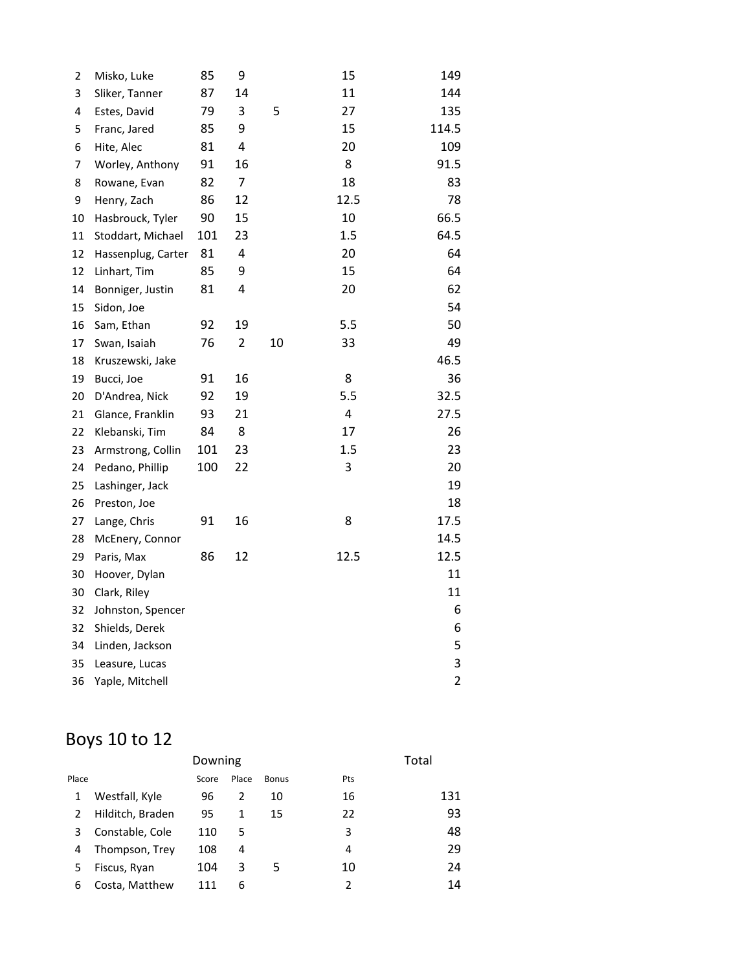| 2  | Misko, Luke        | 85  | 9              |    | 15   | 149            |
|----|--------------------|-----|----------------|----|------|----------------|
| 3  | Sliker, Tanner     | 87  | 14             |    | 11   | 144            |
| 4  | Estes, David       | 79  | 3              | 5  | 27   | 135            |
| 5  | Franc, Jared       | 85  | 9              |    | 15   | 114.5          |
| 6  | Hite, Alec         | 81  | 4              |    | 20   | 109            |
| 7  | Worley, Anthony    | 91  | 16             |    | 8    | 91.5           |
| 8  | Rowane, Evan       | 82  | $\overline{7}$ |    | 18   | 83             |
| 9  | Henry, Zach        | 86  | 12             |    | 12.5 | 78             |
| 10 | Hasbrouck, Tyler   | 90  | 15             |    | 10   | 66.5           |
| 11 | Stoddart, Michael  | 101 | 23             |    | 1.5  | 64.5           |
| 12 | Hassenplug, Carter | 81  | 4              |    | 20   | 64             |
| 12 | Linhart, Tim       | 85  | 9              |    | 15   | 64             |
| 14 | Bonniger, Justin   | 81  | $\overline{4}$ |    | 20   | 62             |
| 15 | Sidon, Joe         |     |                |    |      | 54             |
| 16 | Sam, Ethan         | 92  | 19             |    | 5.5  | 50             |
| 17 | Swan, Isaiah       | 76  | 2              | 10 | 33   | 49             |
| 18 | Kruszewski, Jake   |     |                |    |      | 46.5           |
| 19 | Bucci, Joe         | 91  | 16             |    | 8    | 36             |
| 20 | D'Andrea, Nick     | 92  | 19             |    | 5.5  | 32.5           |
| 21 | Glance, Franklin   | 93  | 21             |    | 4    | 27.5           |
| 22 | Klebanski, Tim     | 84  | 8              |    | 17   | 26             |
| 23 | Armstrong, Collin  | 101 | 23             |    | 1.5  | 23             |
| 24 | Pedano, Phillip    | 100 | 22             |    | 3    | 20             |
| 25 | Lashinger, Jack    |     |                |    |      | 19             |
| 26 | Preston, Joe       |     |                |    |      | 18             |
| 27 | Lange, Chris       | 91  | 16             |    | 8    | 17.5           |
| 28 | McEnery, Connor    |     |                |    |      | 14.5           |
| 29 | Paris, Max         | 86  | 12             |    | 12.5 | 12.5           |
| 30 | Hoover, Dylan      |     |                |    |      | 11             |
| 30 | Clark, Riley       |     |                |    |      | 11             |
| 32 | Johnston, Spencer  |     |                |    |      | 6              |
| 32 | Shields, Derek     |     |                |    |      | 6              |
| 34 | Linden, Jackson    |     |                |    |      | 5              |
| 35 | Leasure, Lucas     |     |                |    |      | 3              |
| 36 | Yaple, Mitchell    |     |                |    |      | $\overline{2}$ |

# Boys 10 to 12

|       |                  | Downing |       |              |     | Total |
|-------|------------------|---------|-------|--------------|-----|-------|
| Place |                  | Score   | Place | <b>Bonus</b> | Pts |       |
| 1     | Westfall, Kyle   | 96      | 2     | 10           | 16  | 131   |
| 2     | Hilditch, Braden | 95      | 1     | 15           | 22  | 93    |
| 3     | Constable, Cole  | 110     | 5     |              | 3   | 48    |
| 4     | Thompson, Trey   | 108     | 4     |              | 4   | 29    |
| 5     | Fiscus, Ryan     | 104     | 3     | 5            | 10  | 24    |
| 6     | Costa, Matthew   | 111     | 6     |              | 2   | 14    |